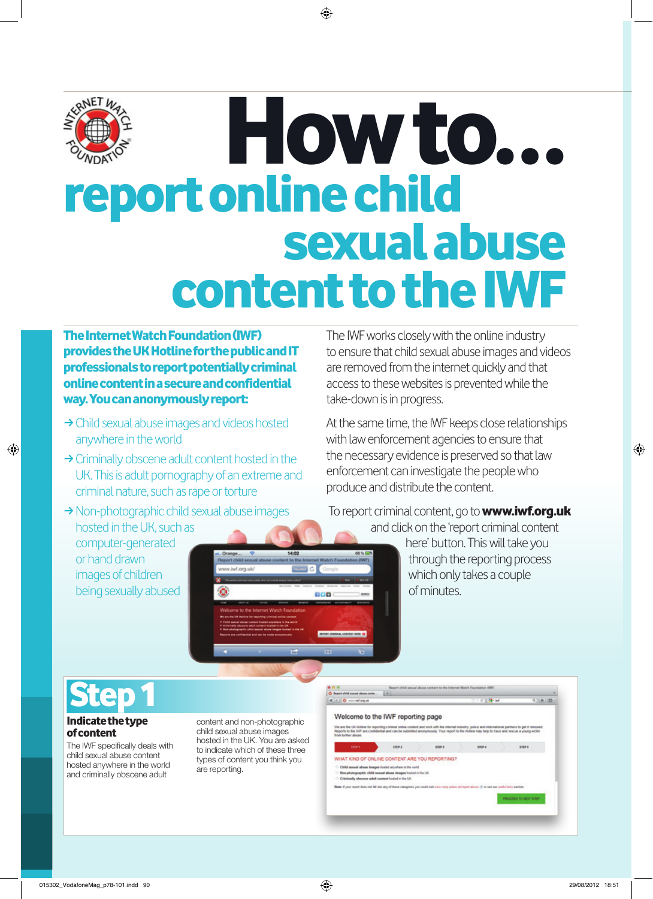

# How to... report online child sexual abuse content to the IWF

The Internet Watch Foundation (IWF) provides the UK Hotline for the public and IT professionals to report potentially criminal online content in a secure and confidential way. You can anonymously report:

- $\rightarrow$  Child sexual abuse images and videos hosted anywhere in the world
- $\rightarrow$  Criminally obscene adult content hosted in the UK. This is adult pornography of an extreme and criminal nature, such as rape or torture
- $\rightarrow$  Non-photographic child sexual abuse images hosted in the UK, such as computer-generated

w.ivit.org.uk **DOM:** 

The IWF works closely with the online industry to ensure that child sexual abuse images and videos are removed from the internet quickly and that access to these websites is prevented while the take-down is in progress.

At the same time, the IWF keeps close relationships with law enforcement agencies to ensure that the necessary evidence is preserved so that law enforcement can investigate the people who produce and distribute the content.

To report criminal content, go to **www.iwf.org.uk** and click on the 'report criminal content

> here' button. This will take you through the reporting process which only takes a couple of minutes.



or hand drawn images of children being sexually abused

### Indicate the type of content

The IWF specifically deals with child sexual abuse content hosted anywhere in the world and criminally obscene adult

content and non-photographic child sexual abuse images hosted in the UK. You are asked to indicate which of these three types of content you think you are reporting.



 $m = 1$